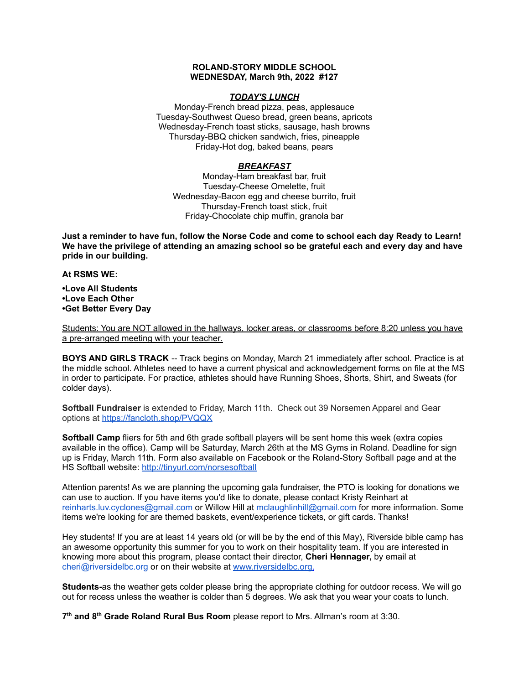## **ROLAND-STORY MIDDLE SCHOOL WEDNESDAY, March 9th, 2022 #127**

# *TODAY'S LUNCH*

Monday-French bread pizza, peas, applesauce Tuesday-Southwest Queso bread, green beans, apricots Wednesday-French toast sticks, sausage, hash browns Thursday-BBQ chicken sandwich, fries, pineapple Friday-Hot dog, baked beans, pears

# *BREAKFAST*

Monday-Ham breakfast bar, fruit Tuesday-Cheese Omelette, fruit Wednesday-Bacon egg and cheese burrito, fruit Thursday-French toast stick, fruit Friday-Chocolate chip muffin, granola bar

Just a reminder to have fun, follow the Norse Code and come to school each day Ready to Learn! **We have the privilege of attending an amazing school so be grateful each and every day and have pride in our building.**

#### **At RSMS WE:**

**•Love All Students •Love Each Other •Get Better Every Day**

Students: You are NOT allowed in the hallways, locker areas, or classrooms before 8:20 unless you have a pre-arranged meeting with your teacher.

**BOYS AND GIRLS TRACK** -- Track begins on Monday, March 21 immediately after school. Practice is at the middle school. Athletes need to have a current physical and acknowledgement forms on file at the MS in order to participate. For practice, athletes should have Running Shoes, Shorts, Shirt, and Sweats (for colder days).

**Softball Fundraiser** is extended to Friday, March 11th. Check out 39 Norsemen Apparel and Gear options at <https://fancloth.shop/PVQQX>

**Softball Camp** fliers for 5th and 6th grade softball players will be sent home this week (extra copies available in the office). Camp will be Saturday, March 26th at the MS Gyms in Roland. Deadline for sign up is Friday, March 11th. Form also available on Facebook or the Roland-Story Softball page and at the HS Softball website: <http://tinyurl.com/norsesoftball>

Attention parents! As we are planning the upcoming gala fundraiser, the PTO is looking for donations we can use to auction. If you have items you'd like to donate, please contact Kristy Reinhart at reinharts.luv.cyclones@gmail.com or Willow Hill at mclaughlinhill@gmail.com for more information. Some items we're looking for are themed baskets, event/experience tickets, or gift cards. Thanks!

Hey students! If you are at least 14 years old (or will be by the end of this May), Riverside bible camp has an awesome opportunity this summer for you to work on their hospitality team. If you are interested in knowing more about this program, please contact their director, **Cheri Hennager,** by email at cheri@riversidelbc.org or on their website at [www.riversidelbc.org.](http://www.riversidelbc.org/)

**Students-**as the weather gets colder please bring the appropriate clothing for outdoor recess. We will go out for recess unless the weather is colder than 5 degrees. We ask that you wear your coats to lunch.

**7 th and 8 th Grade Roland Rural Bus Room** please report to Mrs. Allman's room at 3:30.